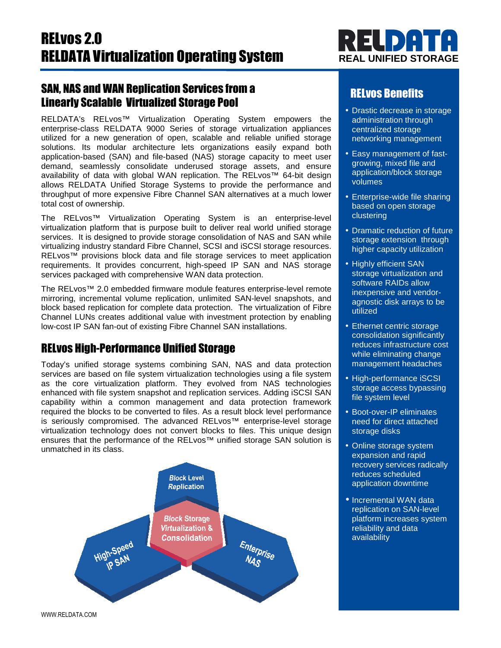## SAN, NAS and WAN Replication Services from a Linearly Scalable Virtualized Storage Pool

RELDATA's RELvos™ Virtualization Operating System empowers the enterprise-class RELDATA 9000 Series of storage virtualization appliances utilized for a new generation of open, scalable and reliable unified storage solutions. Its modular architecture lets organizations easily expand both application-based (SAN) and file-based (NAS) storage capacity to meet user demand, seamlessly consolidate underused storage assets, and ensure availability of data with global WAN replication. The RELvos™ 64-bit design allows RELDATA Unified Storage Systems to provide the performance and throughput of more expensive Fibre Channel SAN alternatives at a much lower total cost of ownership.

The RELvos™ Virtualization Operating System is an enterprise-level virtualization platform that is purpose built to deliver real world unified storage services. It is designed to provide storage consolidation of NAS and SAN while virtualizing industry standard Fibre Channel, SCSI and iSCSI storage resources. RELvos™ provisions block data and file storage services to meet application requirements. It provides concurrent, high-speed IP SAN and NAS storage services packaged with comprehensive WAN data protection.

The RELvos™ 2.0 embedded firmware module features enterprise-level remote mirroring, incremental volume replication, unlimited SAN-level snapshots, and block based replication for complete data protection. The virtualization of Fibre Channel LUNs creates additional value with investment protection by enabling low-cost IP SAN fan-out of existing Fibre Channel SAN installations.

## RELvos High-Performance Unified Storage

Today's unified storage systems combining SAN, NAS and data protection services are based on file system virtualization technologies using a file system as the core virtualization platform. They evolved from NAS technologies enhanced with file system snapshot and replication services. Adding iSCSI SAN capability within a common management and data protection framework required the blocks to be converted to files. As a result block level performance is seriously compromised. The advanced RELvos™ enterprise-level storage virtualization technology does not convert blocks to files. This unique design ensures that the performance of the RELvos™ unified storage SAN solution is unmatched in its class.





## RELvos Benefits

- Drastic decrease in storage administration through centralized storage networking management
- Easy management of fastgrowing, mixed file and application/block storage volumes
- Enterprise-wide file sharing based on open storage clustering
- Dramatic reduction of future storage extension through higher capacity utilization
- Highly efficient SAN storage virtualization and software RAIDs allow inexpensive and vendoragnostic disk arrays to be utilized
- Ethernet centric storage consolidation significantly reduces infrastructure cost while eliminating change management headaches
- High-performance iSCSI storage access bypassing file system level
- Boot-over-IP eliminates need for direct attached storage disks
- Online storage system expansion and rapid recovery services radically reduces scheduled application downtime
- Incremental WAN data replication on SAN-level platform increases system reliability and data availability